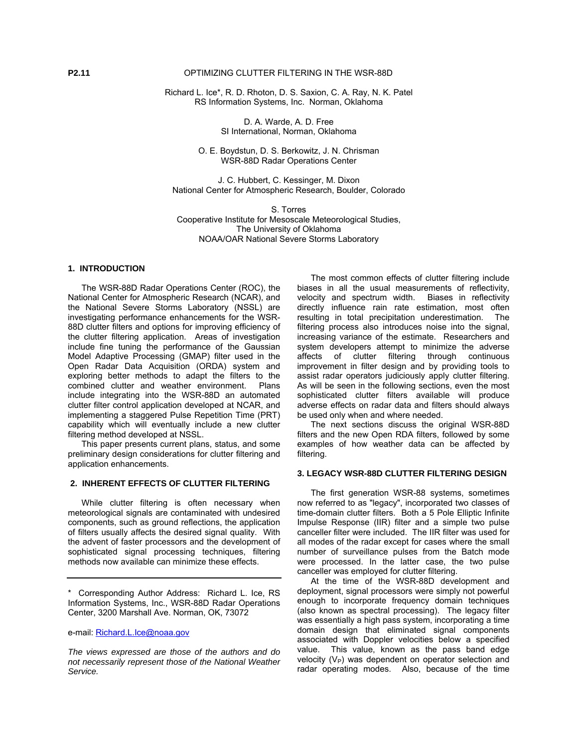Richard L. Ice\*, R. D. Rhoton, D. S. Saxion, C. A. Ray, N. K. Patel RS Information Systems, Inc. Norman, Oklahoma

> D. A. Warde, A. D. Free SI International, Norman, Oklahoma

O. E. Boydstun, D. S. Berkowitz, J. N. Chrisman WSR-88D Radar Operations Center

J. C. Hubbert, C. Kessinger, M. Dixon National Center for Atmospheric Research, Boulder, Colorado

S. Torres Cooperative Institute for Mesoscale Meteorological Studies, The University of Oklahoma NOAA/OAR National Severe Storms Laboratory

## **1. INTRODUCTION**

The WSR-88D Radar Operations Center (ROC), the National Center for Atmospheric Research (NCAR), and the National Severe Storms Laboratory (NSSL) are investigating performance enhancements for the WSR-88D clutter filters and options for improving efficiency of the clutter filtering application. Areas of investigation include fine tuning the performance of the Gaussian Model Adaptive Processing (GMAP) filter used in the Open Radar Data Acquisition (ORDA) system and exploring better methods to adapt the filters to the combined clutter and weather environment. Plans include integrating into the WSR-88D an automated clutter filter control application developed at NCAR, and implementing a staggered Pulse Repetition Time (PRT) capability which will eventually include a new clutter filtering method developed at NSSL.

This paper presents current plans, status, and some preliminary design considerations for clutter filtering and application enhancements.

## **2. INHERENT EFFECTS OF CLUTTER FILTERING**

While clutter filtering is often necessary when meteorological signals are contaminated with undesired components, such as ground reflections, the application of filters usually affects the desired signal quality. With the advent of faster processors and the development of sophisticated signal processing techniques, filtering methods now available can minimize these effects.

\* Corresponding Author Address: Richard L. Ice, RS Information Systems, Inc., WSR-88D Radar Operations Center, 3200 Marshall Ave. Norman, OK, 73072

*The views expressed are those of the authors and do not necessarily represent those of the National Weather Service.* 

The most common effects of clutter filtering include biases in all the usual measurements of reflectivity, velocity and spectrum width. Biases in reflectivity directly influence rain rate estimation, most often resulting in total precipitation underestimation. The filtering process also introduces noise into the signal, increasing variance of the estimate. Researchers and system developers attempt to minimize the adverse affects of clutter filtering through continuous improvement in filter design and by providing tools to assist radar operators judiciously apply clutter filtering. As will be seen in the following sections, even the most sophisticated clutter filters available will produce adverse effects on radar data and filters should always be used only when and where needed.

The next sections discuss the original WSR-88D filters and the new Open RDA filters, followed by some examples of how weather data can be affected by filtering.

#### **3. LEGACY WSR-88D CLUTTER FILTERING DESIGN**

The first generation WSR-88 systems, sometimes now referred to as "legacy", incorporated two classes of time-domain clutter filters. Both a 5 Pole Elliptic Infinite Impulse Response (IIR) filter and a simple two pulse canceller filter were included. The IIR filter was used for all modes of the radar except for cases where the small number of surveillance pulses from the Batch mode were processed. In the latter case, the two pulse canceller was employed for clutter filtering.

At the time of the WSR-88D development and deployment, signal processors were simply not powerful enough to incorporate frequency domain techniques (also known as spectral processing). The legacy filter was essentially a high pass system, incorporating a time domain design that eliminated signal components associated with Doppler velocities below a specified value. This value, known as the pass band edge velocity  $(V_P)$  was dependent on operator selection and radar operating modes. Also, because of the time

e-mail: [Richard.L.Ice@noaa.gov](mailto:Richard.L.Ice@noaa.gov)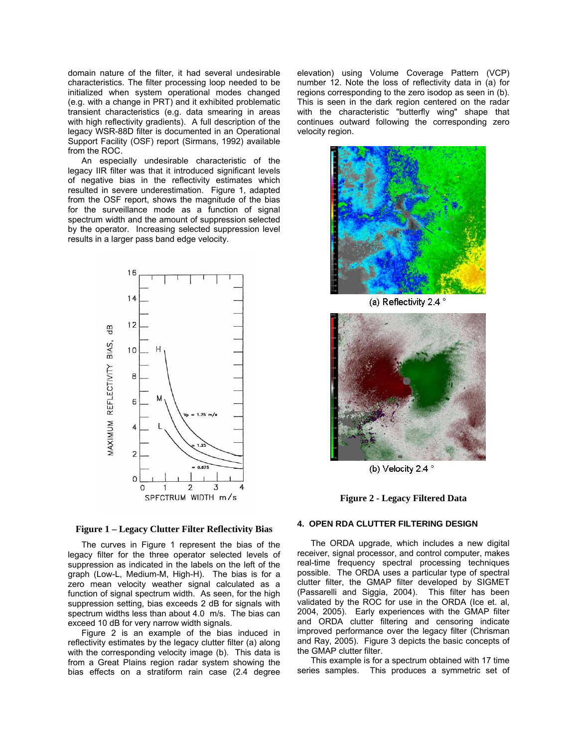domain nature of the filter, it had several undesirable characteristics. The filter processing loop needed to be initialized when system operational modes changed (e.g. with a change in PRT) and it exhibited problematic transient characteristics (e.g. data smearing in areas with high reflectivity gradients). A full description of the legacy WSR-88D filter is documented in an Operational Support Facility (OSF) report (Sirmans, 1992) available from the ROC.

An especially undesirable characteristic of the legacy IIR filter was that it introduced significant levels of negative bias in the reflectivity estimates which resulted in severe underestimation. Figure 1, adapted from the OSF report, shows the magnitude of the bias for the surveillance mode as a function of signal spectrum width and the amount of suppression selected by the operator. Increasing selected suppression level results in a larger pass band edge velocity.



elevation) using Volume Coverage Pattern (VCP) number 12. Note the loss of reflectivity data in (a) for regions corresponding to the zero isodop as seen in (b). This is seen in the dark region centered on the radar with the characteristic "butterfly wing" shape that continues outward following the corresponding zero velocity region.



(a) Reflectivity 2.4 °



(b) Velocity 2.4 °

### **Figure 2 - Legacy Filtered Data**

### **4. OPEN RDA CLUTTER FILTERING DESIGN**

The ORDA upgrade, which includes a new digital receiver, signal processor, and control computer, makes real-time frequency spectral processing techniques possible. The ORDA uses a particular type of spectral clutter filter, the GMAP filter developed by SIGMET (Passarelli and Siggia, 2004). This filter has been validated by the ROC for use in the ORDA (Ice et. al, 2004, 2005). Early experiences with the GMAP filter and ORDA clutter filtering and censoring indicate improved performance over the legacy filter (Chrisman and Ray, 2005). Figure 3 depicts the basic concepts of the GMAP clutter filter.

This example is for a spectrum obtained with 17 time series samples. This produces a symmetric set of

# **Figure 1 – Legacy Clutter Filter Reflectivity Bias**

The curves in Figure 1 represent the bias of the legacy filter for the three operator selected levels of suppression as indicated in the labels on the left of the graph (Low-L, Medium-M, High-H). The bias is for a zero mean velocity weather signal calculated as a function of signal spectrum width. As seen, for the high suppression setting, bias exceeds 2 dB for signals with spectrum widths less than about 4.0 m/s. The bias can exceed 10 dB for very narrow width signals.

Figure 2 is an example of the bias induced in reflectivity estimates by the legacy clutter filter (a) along with the corresponding velocity image (b). This data is from a Great Plains region radar system showing the bias effects on a stratiform rain case (2.4 degree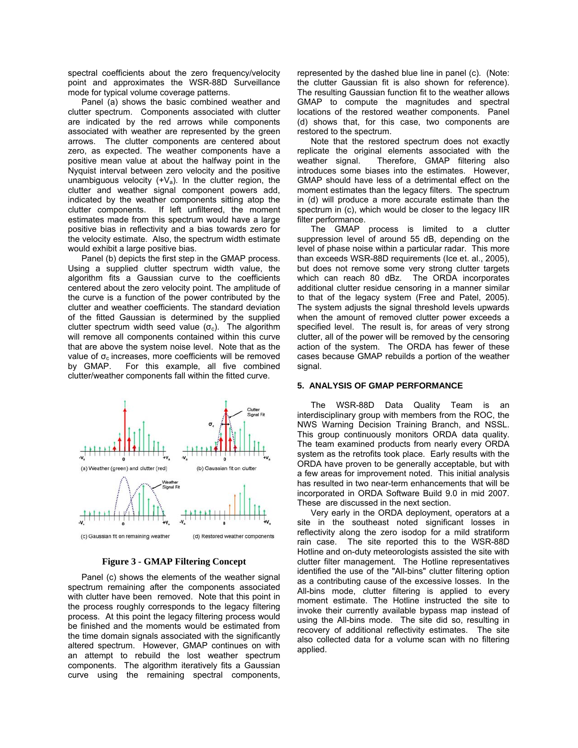spectral coefficients about the zero frequency/velocity point and approximates the WSR-88D Surveillance mode for typical volume coverage patterns.

Panel (a) shows the basic combined weather and clutter spectrum. Components associated with clutter are indicated by the red arrows while components associated with weather are represented by the green arrows. The clutter components are centered about zero, as expected. The weather components have a positive mean value at about the halfway point in the Nyquist interval between zero velocity and the positive unambiguous velocity  $(+V_a)$ . In the clutter region, the clutter and weather signal component powers add, indicated by the weather components sitting atop the clutter components. If left unfiltered, the moment estimates made from this spectrum would have a large positive bias in reflectivity and a bias towards zero for the velocity estimate. Also, the spectrum width estimate would exhibit a large positive bias.

Panel (b) depicts the first step in the GMAP process. Using a supplied clutter spectrum width value, the algorithm fits a Gaussian curve to the coefficients centered about the zero velocity point. The amplitude of the curve is a function of the power contributed by the clutter and weather coefficients. The standard deviation of the fitted Gaussian is determined by the supplied clutter spectrum width seed value  $(\sigma_c)$ . The algorithm will remove all components contained within this curve that are above the system noise level. Note that as the value of  $σ<sub>c</sub>$  increases, more coefficients will be removed by GMAP. For this example, all five combined clutter/weather components fall within the fitted curve.



**Figure 3 - GMAP Filtering Concept**

Panel (c) shows the elements of the weather signal spectrum remaining after the components associated with clutter have been removed. Note that this point in the process roughly corresponds to the legacy filtering process. At this point the legacy filtering process would be finished and the moments would be estimated from the time domain signals associated with the significantly altered spectrum. However, GMAP continues on with an attempt to rebuild the lost weather spectrum components. The algorithm iteratively fits a Gaussian curve using the remaining spectral components,

represented by the dashed blue line in panel (c). (Note: the clutter Gaussian fit is also shown for reference). The resulting Gaussian function fit to the weather allows GMAP to compute the magnitudes and spectral locations of the restored weather components. Panel (d) shows that, for this case, two components are restored to the spectrum.

Note that the restored spectrum does not exactly replicate the original elements associated with the weather signal. Therefore, GMAP filtering also introduces some biases into the estimates. However, GMAP should have less of a detrimental effect on the moment estimates than the legacy filters. The spectrum in (d) will produce a more accurate estimate than the spectrum in (c), which would be closer to the legacy IIR filter performance.

The GMAP process is limited to a clutter suppression level of around 55 dB, depending on the level of phase noise within a particular radar. This more than exceeds WSR-88D requirements (Ice et. al., 2005), but does not remove some very strong clutter targets which can reach 80 dBz. The ORDA incorporates additional clutter residue censoring in a manner similar to that of the legacy system (Free and Patel, 2005). The system adjusts the signal threshold levels upwards when the amount of removed clutter power exceeds a specified level. The result is, for areas of very strong clutter, all of the power will be removed by the censoring action of the system. The ORDA has fewer of these cases because GMAP rebuilds a portion of the weather signal.

### **5. ANALYSIS OF GMAP PERFORMANCE**

The WSR-88D Data Quality Team is an interdisciplinary group with members from the ROC, the NWS Warning Decision Training Branch, and NSSL. This group continuously monitors ORDA data quality. The team examined products from nearly every ORDA system as the retrofits took place. Early results with the ORDA have proven to be generally acceptable, but with a few areas for improvement noted. This initial analysis has resulted in two near-term enhancements that will be incorporated in ORDA Software Build 9.0 in mid 2007. These are discussed in the next section.

Very early in the ORDA deployment, operators at a site in the southeast noted significant losses in reflectivity along the zero isodop for a mild stratiform rain case. The site reported this to the WSR-88D Hotline and on-duty meteorologists assisted the site with clutter filter management. The Hotline representatives identified the use of the "All-bins" clutter filtering option as a contributing cause of the excessive losses. In the All-bins mode, clutter filtering is applied to every moment estimate. The Hotline instructed the site to invoke their currently available bypass map instead of using the All-bins mode. The site did so, resulting in recovery of additional reflectivity estimates. The site also collected data for a volume scan with no filtering applied.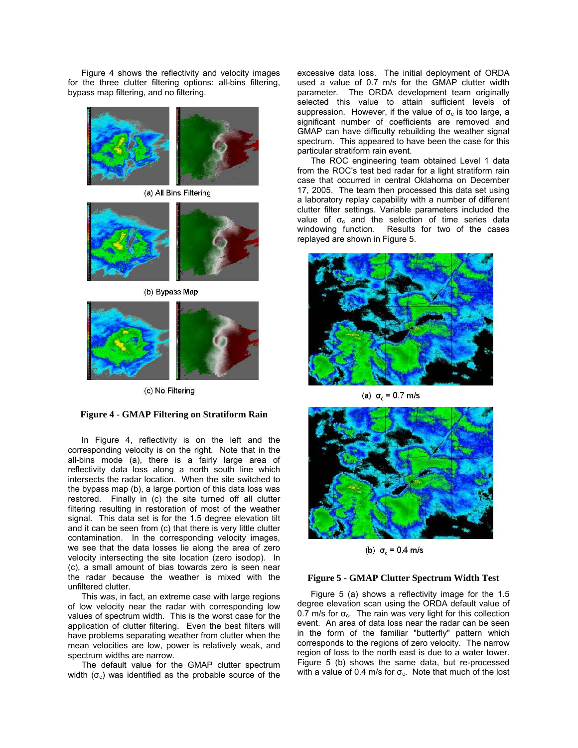Figure 4 shows the reflectivity and velocity images for the three clutter filtering options: all-bins filtering, bypass map filtering, and no filtering.



(a) All Bins Filtering



(b) Bypass Map



(c) No Filtering

### **Figure 4 - GMAP Filtering on Stratiform Rain**

In Figure 4, reflectivity is on the left and the corresponding velocity is on the right. Note that in the all-bins mode (a), there is a fairly large area of reflectivity data loss along a north south line which intersects the radar location. When the site switched to the bypass map (b), a large portion of this data loss was restored. Finally in (c) the site turned off all clutter filtering resulting in restoration of most of the weather signal. This data set is for the 1.5 degree elevation tilt and it can be seen from (c) that there is very little clutter contamination. In the corresponding velocity images, we see that the data losses lie along the area of zero velocity intersecting the site location (zero isodop). In (c), a small amount of bias towards zero is seen near the radar because the weather is mixed with the unfiltered clutter.

This was, in fact, an extreme case with large regions of low velocity near the radar with corresponding low values of spectrum width. This is the worst case for the application of clutter filtering. Even the best filters will have problems separating weather from clutter when the mean velocities are low, power is relatively weak, and spectrum widths are narrow.

The default value for the GMAP clutter spectrum width  $(\sigma_c)$  was identified as the probable source of the

excessive data loss. The initial deployment of ORDA used a value of 0.7 m/s for the GMAP clutter width parameter. The ORDA development team originally selected this value to attain sufficient levels of suppression. However, if the value of  $\sigma_c$  is too large, a significant number of coefficients are removed and GMAP can have difficulty rebuilding the weather signal spectrum. This appeared to have been the case for this particular stratiform rain event.

The ROC engineering team obtained Level 1 data from the ROC's test bed radar for a light stratiform rain case that occurred in central Oklahoma on December 17, 2005. The team then processed this data set using a laboratory replay capability with a number of different clutter filter settings. Variable parameters included the value of  $\sigma_c$  and the selection of time series data windowing function. Results for two of the cases replayed are shown in Figure 5.



(a)  $σ<sub>c</sub> = 0.7$  m/s



(b)  $σ_c = 0.4$  m/s

#### **Figure 5 - GMAP Clutter Spectrum Width Test**

Figure 5 (a) shows a reflectivity image for the 1.5 degree elevation scan using the ORDA default value of 0.7 m/s for  $\sigma_c$ . The rain was very light for this collection event. An area of data loss near the radar can be seen in the form of the familiar "butterfly" pattern which corresponds to the regions of zero velocity. The narrow region of loss to the north east is due to a water tower. Figure 5 (b) shows the same data, but re-processed with a value of 0.4 m/s for  $\sigma_c$ . Note that much of the lost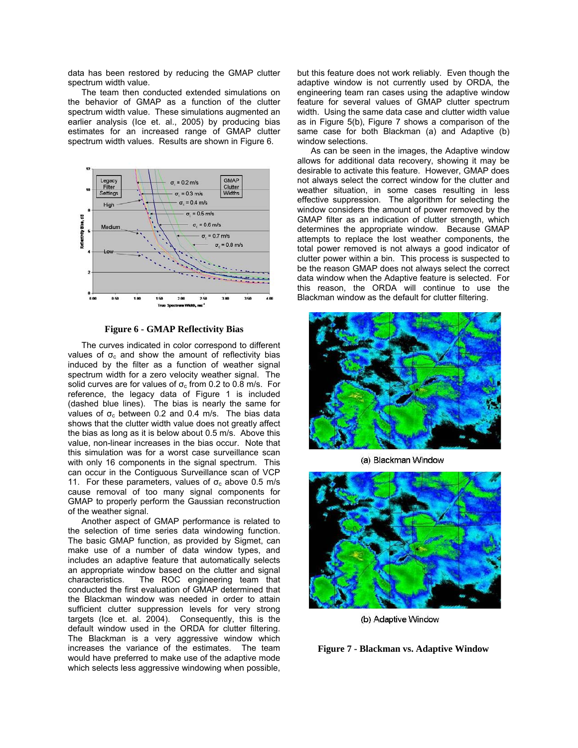data has been restored by reducing the GMAP clutter spectrum width value.

The team then conducted extended simulations on the behavior of GMAP as a function of the clutter spectrum width value. These simulations augmented an earlier analysis (Ice et. al., 2005) by producing bias estimates for an increased range of GMAP clutter spectrum width values. Results are shown in Figure 6.



**Figure 6 - GMAP Reflectivity Bias**

The curves indicated in color correspond to different values of  $\sigma_c$  and show the amount of reflectivity bias induced by the filter as a function of weather signal spectrum width for a zero velocity weather signal. The solid curves are for values of  $\sigma_c$  from 0.2 to 0.8 m/s. For reference, the legacy data of Figure 1 is included (dashed blue lines). The bias is nearly the same for values of  $\sigma_c$  between 0.2 and 0.4 m/s. The bias data shows that the clutter width value does not greatly affect the bias as long as it is below about 0.5 m/s. Above this value, non-linear increases in the bias occur. Note that this simulation was for a worst case surveillance scan with only 16 components in the signal spectrum. This can occur in the Contiguous Surveillance scan of VCP 11. For these parameters, values of  $\sigma_c$  above 0.5 m/s cause removal of too many signal components for GMAP to properly perform the Gaussian reconstruction of the weather signal.

Another aspect of GMAP performance is related to the selection of time series data windowing function. The basic GMAP function, as provided by Sigmet, can make use of a number of data window types, and includes an adaptive feature that automatically selects an appropriate window based on the clutter and signal characteristics. The ROC engineering team that conducted the first evaluation of GMAP determined that the Blackman window was needed in order to attain sufficient clutter suppression levels for very strong targets (Ice et. al. 2004). Consequently, this is the default window used in the ORDA for clutter filtering. The Blackman is a very aggressive window which increases the variance of the estimates. The team would have preferred to make use of the adaptive mode which selects less aggressive windowing when possible,

but this feature does not work reliably. Even though the adaptive window is not currently used by ORDA, the engineering team ran cases using the adaptive window feature for several values of GMAP clutter spectrum width. Using the same data case and clutter width value as in Figure 5(b), Figure 7 shows a comparison of the same case for both Blackman (a) and Adaptive (b) window selections.

As can be seen in the images, the Adaptive window allows for additional data recovery, showing it may be desirable to activate this feature. However, GMAP does not always select the correct window for the clutter and weather situation, in some cases resulting in less effective suppression. The algorithm for selecting the window considers the amount of power removed by the GMAP filter as an indication of clutter strength, which determines the appropriate window. Because GMAP attempts to replace the lost weather components, the total power removed is not always a good indicator of clutter power within a bin. This process is suspected to be the reason GMAP does not always select the correct data window when the Adaptive feature is selected. For this reason, the ORDA will continue to use the Blackman window as the default for clutter filtering.



(a) Blackman Window



(b) Adaptive Window

**Figure 7 - Blackman vs. Adaptive Window**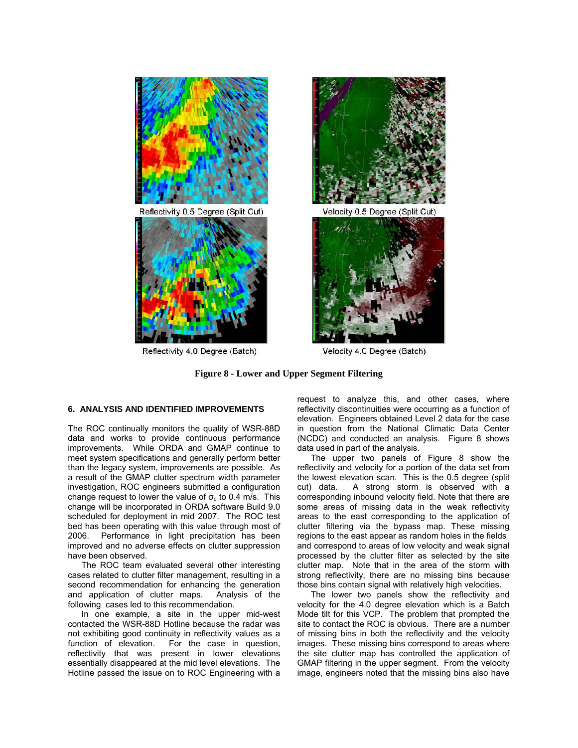



Reflectivity 4.0 Degree (Batch)



Velocity 0.5 Degree (Split Cut)



Velocity 4.0 Degree (Batch)

**Figure 8 - Lower and Upper Segment Filtering**

#### **6. ANALYSIS AND IDENTIFIED IMPROVEMENTS**

The ROC continually monitors the quality of WSR-88D data and works to provide continuous performance improvements. While ORDA and GMAP continue to meet system specifications and generally perform better than the legacy system, improvements are possible. As a result of the GMAP clutter spectrum width parameter investigation, ROC engineers submitted a configuration change request to lower the value of  $\sigma_c$  to 0.4 m/s. This change will be incorporated in ORDA software Build 9.0 scheduled for deployment in mid 2007. The ROC test bed has been operating with this value through most of 2006. Performance in light precipitation has been improved and no adverse effects on clutter suppression have been observed.

The ROC team evaluated several other interesting cases related to clutter filter management, resulting in a second recommendation for enhancing the generation and application of clutter maps. Analysis of the following cases led to this recommendation.

In one example, a site in the upper mid-west contacted the WSR-88D Hotline because the radar was not exhibiting good continuity in reflectivity values as a function of elevation. For the case in question, reflectivity that was present in lower elevations essentially disappeared at the mid level elevations. The Hotline passed the issue on to ROC Engineering with a

request to analyze this, and other cases, where reflectivity discontinuities were occurring as a function of elevation. Engineers obtained Level 2 data for the case in question from the National Climatic Data Center (NCDC) and conducted an analysis. Figure 8 shows data used in part of the analysis.

The upper two panels of Figure 8 show the reflectivity and velocity for a portion of the data set from the lowest elevation scan. This is the 0.5 degree (split cut) data. A strong storm is observed with a corresponding inbound velocity field. Note that there are some areas of missing data in the weak reflectivity areas to the east corresponding to the application of clutter filtering via the bypass map. These missing regions to the east appear as random holes in the fields and correspond to areas of low velocity and weak signal processed by the clutter filter as selected by the site clutter map. Note that in the area of the storm with strong reflectivity, there are no missing bins because those bins contain signal with relatively high velocities.

The lower two panels show the reflectivity and velocity for the 4.0 degree elevation which is a Batch Mode tilt for this VCP. The problem that prompted the site to contact the ROC is obvious. There are a number of missing bins in both the reflectivity and the velocity images. These missing bins correspond to areas where the site clutter map has controlled the application of GMAP filtering in the upper segment. From the velocity image, engineers noted that the missing bins also have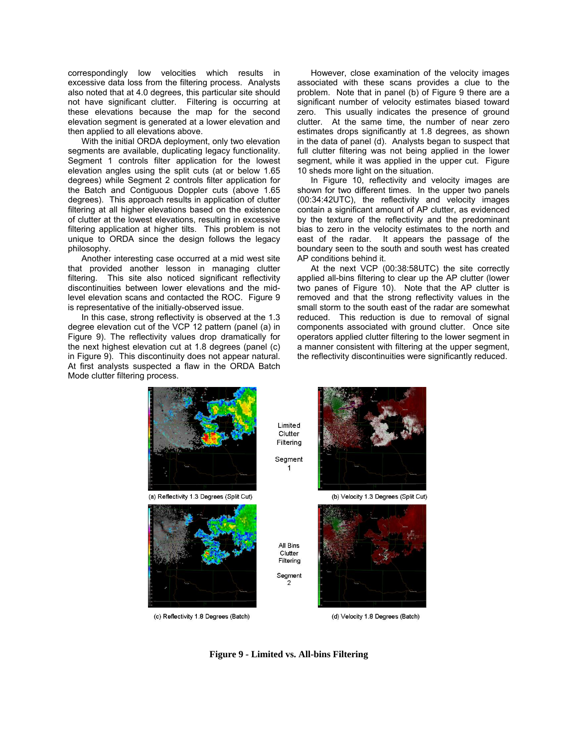correspondingly low velocities which results in excessive data loss from the filtering process. Analysts also noted that at 4.0 degrees, this particular site should not have significant clutter. Filtering is occurring at these elevations because the map for the second elevation segment is generated at a lower elevation and then applied to all elevations above.

With the initial ORDA deployment, only two elevation segments are available, duplicating legacy functionality. Segment 1 controls filter application for the lowest elevation angles using the split cuts (at or below 1.65 degrees) while Segment 2 controls filter application for the Batch and Contiguous Doppler cuts (above 1.65 degrees). This approach results in application of clutter filtering at all higher elevations based on the existence of clutter at the lowest elevations, resulting in excessive filtering application at higher tilts. This problem is not unique to ORDA since the design follows the legacy philosophy.

Another interesting case occurred at a mid west site that provided another lesson in managing clutter filtering. This site also noticed significant reflectivity discontinuities between lower elevations and the midlevel elevation scans and contacted the ROC. Figure 9 is representative of the initially-observed issue.

In this case, strong reflectivity is observed at the 1.3 degree elevation cut of the VCP 12 pattern (panel (a) in Figure 9). The reflectivity values drop dramatically for the next highest elevation cut at 1.8 degrees (panel (c) in Figure 9). This discontinuity does not appear natural. At first analysts suspected a flaw in the ORDA Batch Mode clutter filtering process.

However, close examination of the velocity images associated with these scans provides a clue to the problem. Note that in panel (b) of Figure 9 there are a significant number of velocity estimates biased toward zero. This usually indicates the presence of ground clutter. At the same time, the number of near zero estimates drops significantly at 1.8 degrees, as shown in the data of panel (d). Analysts began to suspect that full clutter filtering was not being applied in the lower segment, while it was applied in the upper cut. Figure 10 sheds more light on the situation.

In Figure 10, reflectivity and velocity images are shown for two different times. In the upper two panels (00:34:42UTC), the reflectivity and velocity images contain a significant amount of AP clutter, as evidenced by the texture of the reflectivity and the predominant bias to zero in the velocity estimates to the north and east of the radar. It appears the passage of the boundary seen to the south and south west has created AP conditions behind it.

At the next VCP (00:38:58UTC) the site correctly applied all-bins filtering to clear up the AP clutter (lower two panes of Figure 10). Note that the AP clutter is removed and that the strong reflectivity values in the small storm to the south east of the radar are somewhat reduced. This reduction is due to removal of signal components associated with ground clutter. Once site operators applied clutter filtering to the lower segment in a manner consistent with filtering at the upper segment, the reflectivity discontinuities were significantly reduced.



**Figure 9 - Limited vs. All-bins Filtering**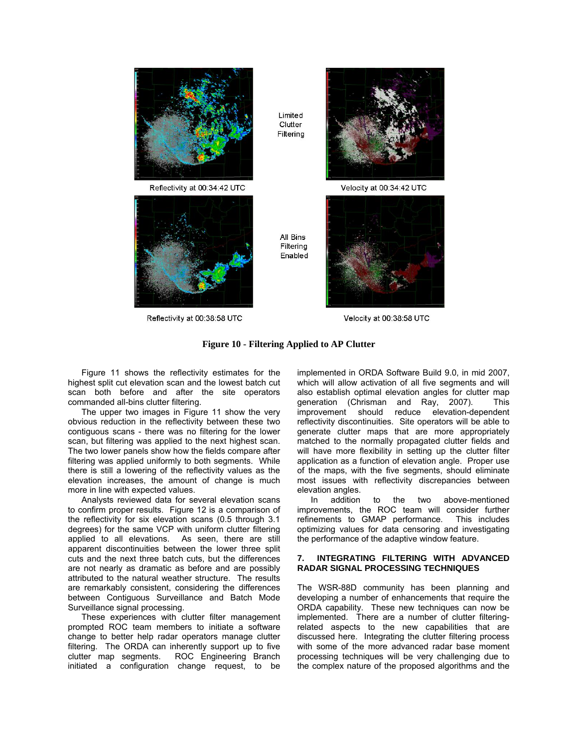

Reflectivity at 00:38:58 UTC

Velocity at 00:38:58 UTC

### **Figure 10 - Filtering Applied to AP Clutter**

Figure 11 shows the reflectivity estimates for the highest split cut elevation scan and the lowest batch cut scan both before and after the site operators commanded all-bins clutter filtering.

The upper two images in Figure 11 show the very obvious reduction in the reflectivity between these two contiguous scans - there was no filtering for the lower scan, but filtering was applied to the next highest scan. The two lower panels show how the fields compare after filtering was applied uniformly to both segments. While there is still a lowering of the reflectivity values as the elevation increases, the amount of change is much more in line with expected values.

Analysts reviewed data for several elevation scans to confirm proper results. Figure 12 is a comparison of the reflectivity for six elevation scans (0.5 through 3.1 degrees) for the same VCP with uniform clutter filtering applied to all elevations. As seen, there are still apparent discontinuities between the lower three split cuts and the next three batch cuts, but the differences are not nearly as dramatic as before and are possibly attributed to the natural weather structure. The results are remarkably consistent, considering the differences between Contiguous Surveillance and Batch Mode Surveillance signal processing.

These experiences with clutter filter management prompted ROC team members to initiate a software change to better help radar operators manage clutter filtering. The ORDA can inherently support up to five clutter map segments. ROC Engineering Branch initiated a configuration change request, to be

implemented in ORDA Software Build 9.0, in mid 2007, which will allow activation of all five segments and will also establish optimal elevation angles for clutter map generation (Chrisman and Ray, 2007). This improvement should reduce elevation-dependent reflectivity discontinuities. Site operators will be able to generate clutter maps that are more appropriately matched to the normally propagated clutter fields and will have more flexibility in setting up the clutter filter application as a function of elevation angle. Proper use of the maps, with the five segments, should eliminate most issues with reflectivity discrepancies between elevation angles.<br>In addition

In addition to the two above-mentioned improvements, the ROC team will consider further refinements to GMAP performance. This includes optimizing values for data censoring and investigating the performance of the adaptive window feature.

#### **7. INTEGRATING FILTERING WITH ADVANCED RADAR SIGNAL PROCESSING TECHNIQUES**

The WSR-88D community has been planning and developing a number of enhancements that require the ORDA capability. These new techniques can now be implemented. There are a number of clutter filteringrelated aspects to the new capabilities that are discussed here. Integrating the clutter filtering process with some of the more advanced radar base moment processing techniques will be very challenging due to the complex nature of the proposed algorithms and the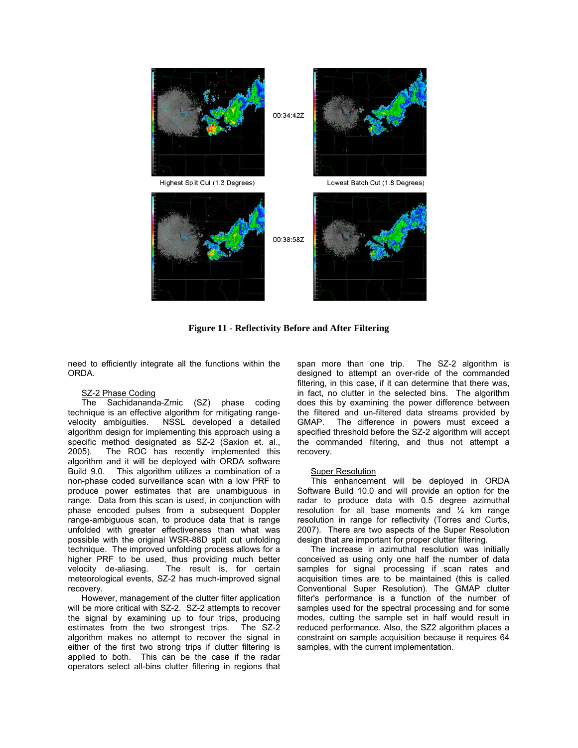

**Figure 11 - Reflectivity Before and After Filtering** 

need to efficiently integrate all the functions within the ORDA.

### SZ-2 Phase Coding

The Sachidananda-Zrnic (SZ) phase coding technique is an effective algorithm for mitigating rangevelocity ambiguities. NSSL developed a detailed algorithm design for implementing this approach using a specific method designated as SZ-2 (Saxion et. al., 2005). The ROC has recently implemented this algorithm and it will be deployed with ORDA software Build 9.0. This algorithm utilizes a combination of a non-phase coded surveillance scan with a low PRF to produce power estimates that are unambiguous in range. Data from this scan is used, in conjunction with phase encoded pulses from a subsequent Doppler range-ambiguous scan, to produce data that is range unfolded with greater effectiveness than what was possible with the original WSR-88D split cut unfolding technique. The improved unfolding process allows for a higher PRF to be used, thus providing much better velocity de-aliasing. The result is, for certain meteorological events, SZ-2 has much-improved signal recovery.

However, management of the clutter filter application will be more critical with SZ-2. SZ-2 attempts to recover the signal by examining up to four trips, producing estimates from the two strongest trips. The SZ-2 algorithm makes no attempt to recover the signal in either of the first two strong trips if clutter filtering is applied to both. This can be the case if the radar operators select all-bins clutter filtering in regions that span more than one trip. The SZ-2 algorithm is designed to attempt an over-ride of the commanded filtering, in this case, if it can determine that there was, in fact, no clutter in the selected bins. The algorithm does this by examining the power difference between the filtered and un-filtered data streams provided by GMAP. The difference in powers must exceed a specified threshold before the SZ-2 algorithm will accept the commanded filtering, and thus not attempt a recovery.

#### Super Resolution

This enhancement will be deployed in ORDA Software Build 10.0 and will provide an option for the radar to produce data with 0.5 degree azimuthal resolution for all base moments and ¼ km range resolution in range for reflectivity (Torres and Curtis, 2007). There are two aspects of the Super Resolution design that are important for proper clutter filtering.

The increase in azimuthal resolution was initially conceived as using only one half the number of data samples for signal processing if scan rates and acquisition times are to be maintained (this is called Conventional Super Resolution). The GMAP clutter filter's performance is a function of the number of samples used for the spectral processing and for some modes, cutting the sample set in half would result in reduced performance. Also, the SZ2 algorithm places a constraint on sample acquisition because it requires 64 samples, with the current implementation.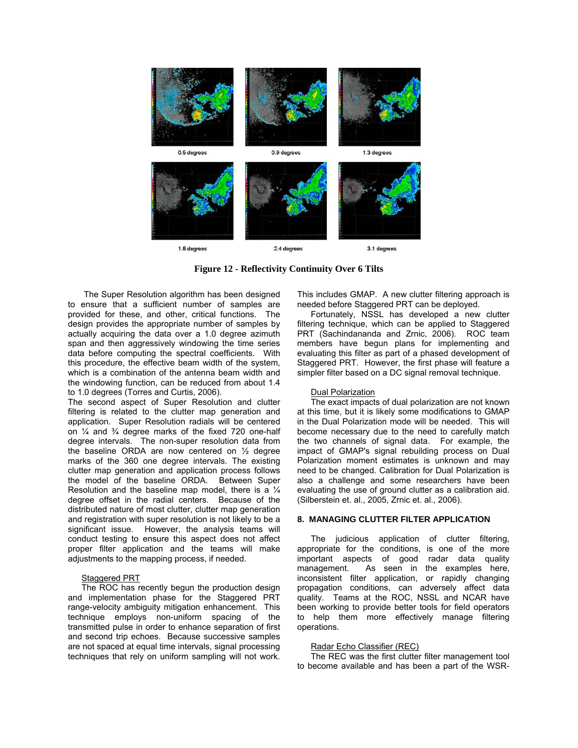

**Figure 12 - Reflectivity Continuity Over 6 Tilts** 

 The Super Resolution algorithm has been designed to ensure that a sufficient number of samples are provided for these, and other, critical functions. The design provides the appropriate number of samples by actually acquiring the data over a 1.0 degree azimuth span and then aggressively windowing the time series data before computing the spectral coefficients. With this procedure, the effective beam width of the system, which is a combination of the antenna beam width and the windowing function, can be reduced from about 1.4 to 1.0 degrees (Torres and Curtis, 2006).

The second aspect of Super Resolution and clutter filtering is related to the clutter map generation and application. Super Resolution radials will be centered on ¼ and ¾ degree marks of the fixed 720 one-half degree intervals. The non-super resolution data from the baseline ORDA are now centered on ½ degree marks of the 360 one degree intervals. The existing clutter map generation and application process follows the model of the baseline ORDA. Between Super Resolution and the baseline map model, there is a ¼ degree offset in the radial centers. Because of the distributed nature of most clutter, clutter map generation and registration with super resolution is not likely to be a significant issue. However, the analysis teams will conduct testing to ensure this aspect does not affect proper filter application and the teams will make adjustments to the mapping process, if needed.

## Staggered PRT

The ROC has recently begun the production design and implementation phase for the Staggered PRT range-velocity ambiguity mitigation enhancement. This technique employs non-uniform spacing of the transmitted pulse in order to enhance separation of first and second trip echoes. Because successive samples are not spaced at equal time intervals, signal processing techniques that rely on uniform sampling will not work.

This includes GMAP. A new clutter filtering approach is needed before Staggered PRT can be deployed.

Fortunately, NSSL has developed a new clutter filtering technique, which can be applied to Staggered PRT (Sachindananda and Zrnic, 2006). ROC team members have begun plans for implementing and evaluating this filter as part of a phased development of Staggered PRT. However, the first phase will feature a simpler filter based on a DC signal removal technique.

## Dual Polarization

The exact impacts of dual polarization are not known at this time, but it is likely some modifications to GMAP in the Dual Polarization mode will be needed. This will become necessary due to the need to carefully match the two channels of signal data. For example, the impact of GMAP's signal rebuilding process on Dual Polarization moment estimates is unknown and may need to be changed. Calibration for Dual Polarization is also a challenge and some researchers have been evaluating the use of ground clutter as a calibration aid. (Silberstein et. al., 2005, Zrnic et. al., 2006).

# **8. MANAGING CLUTTER FILTER APPLICATION**

The judicious application of clutter filtering, appropriate for the conditions, is one of the more important aspects of good radar data quality management. As seen in the examples here, inconsistent filter application, or rapidly changing propagation conditions, can adversely affect data quality. Teams at the ROC, NSSL and NCAR have been working to provide better tools for field operators to help them more effectively manage filtering operations.

## Radar Echo Classifier (REC)

The REC was the first clutter filter management tool to become available and has been a part of the WSR-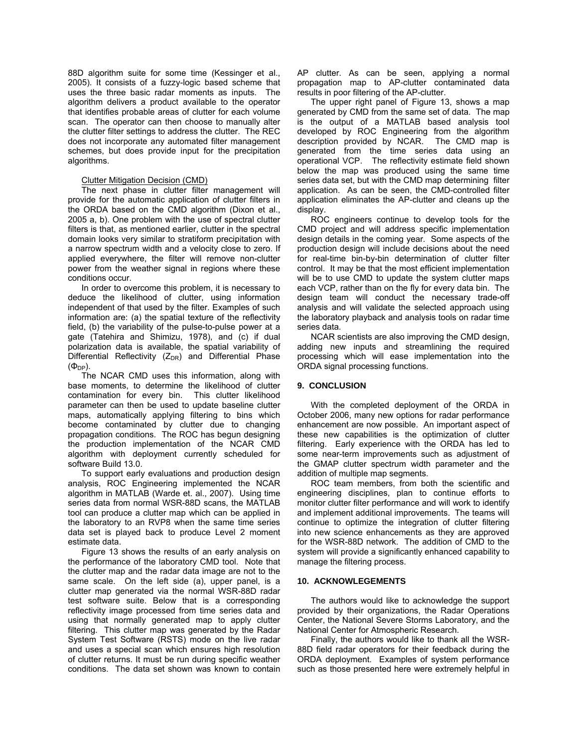88D algorithm suite for some time (Kessinger et al., 2005). It consists of a fuzzy-logic based scheme that uses the three basic radar moments as inputs. The algorithm delivers a product available to the operator that identifies probable areas of clutter for each volume scan. The operator can then choose to manually alter the clutter filter settings to address the clutter. The REC does not incorporate any automated filter management schemes, but does provide input for the precipitation algorithms.

### Clutter Mitigation Decision (CMD)

The next phase in clutter filter management will provide for the automatic application of clutter filters in the ORDA based on the CMD algorithm (Dixon et al., 2005 a, b). One problem with the use of spectral clutter filters is that, as mentioned earlier, clutter in the spectral domain looks very similar to stratiform precipitation with a narrow spectrum width and a velocity close to zero. If applied everywhere, the filter will remove non-clutter power from the weather signal in regions where these conditions occur.

In order to overcome this problem, it is necessary to deduce the likelihood of clutter, using information independent of that used by the filter. Examples of such information are: (a) the spatial texture of the reflectivity field, (b) the variability of the pulse-to-pulse power at a gate (Tatehira and Shimizu, 1978), and (c) if dual polarization data is available, the spatial variability of Differential Reflectivity  $(Z_{DR})$  and Differential Phase  $(\Phi_{DP})$ .

The NCAR CMD uses this information, along with base moments, to determine the likelihood of clutter contamination for every bin. This clutter likelihood parameter can then be used to update baseline clutter maps, automatically applying filtering to bins which become contaminated by clutter due to changing propagation conditions. The ROC has begun designing the production implementation of the NCAR CMD algorithm with deployment currently scheduled for software Build 13.0.

To support early evaluations and production design analysis, ROC Engineering implemented the NCAR algorithm in MATLAB (Warde et. al., 2007). Using time series data from normal WSR-88D scans, the MATLAB tool can produce a clutter map which can be applied in the laboratory to an RVP8 when the same time series data set is played back to produce Level 2 moment estimate data.

Figure 13 shows the results of an early analysis on the performance of the laboratory CMD tool. Note that the clutter map and the radar data image are not to the same scale. On the left side (a), upper panel, is a clutter map generated via the normal WSR-88D radar test software suite. Below that is a corresponding reflectivity image processed from time series data and using that normally generated map to apply clutter filtering. This clutter map was generated by the Radar System Test Software (RSTS) mode on the live radar and uses a special scan which ensures high resolution of clutter returns. It must be run during specific weather conditions. The data set shown was known to contain

AP clutter. As can be seen, applying a normal propagation map to AP-clutter contaminated data results in poor filtering of the AP-clutter.

The upper right panel of Figure 13, shows a map generated by CMD from the same set of data. The map is the output of a MATLAB based analysis tool developed by ROC Engineering from the algorithm description provided by NCAR. The CMD map is generated from the time series data using an operational VCP. The reflectivity estimate field shown below the map was produced using the same time series data set, but with the CMD map determining filter application. As can be seen, the CMD-controlled filter application eliminates the AP-clutter and cleans up the display.

ROC engineers continue to develop tools for the CMD project and will address specific implementation design details in the coming year. Some aspects of the production design will include decisions about the need for real-time bin-by-bin determination of clutter filter control. It may be that the most efficient implementation will be to use CMD to update the system clutter maps each VCP, rather than on the fly for every data bin. The design team will conduct the necessary trade-off analysis and will validate the selected approach using the laboratory playback and analysis tools on radar time series data.

NCAR scientists are also improving the CMD design, adding new inputs and streamlining the required processing which will ease implementation into the ORDA signal processing functions.

## **9. CONCLUSION**

With the completed deployment of the ORDA in October 2006, many new options for radar performance enhancement are now possible. An important aspect of these new capabilities is the optimization of clutter filtering. Early experience with the ORDA has led to some near-term improvements such as adjustment of the GMAP clutter spectrum width parameter and the addition of multiple map segments.

ROC team members, from both the scientific and engineering disciplines, plan to continue efforts to monitor clutter filter performance and will work to identify and implement additional improvements. The teams will continue to optimize the integration of clutter filtering into new science enhancements as they are approved for the WSR-88D network. The addition of CMD to the system will provide a significantly enhanced capability to manage the filtering process.

## **10. ACKNOWLEGEMENTS**

The authors would like to acknowledge the support provided by their organizations, the Radar Operations Center, the National Severe Storms Laboratory, and the National Center for Atmospheric Research.

Finally, the authors would like to thank all the WSR-88D field radar operators for their feedback during the ORDA deployment. Examples of system performance such as those presented here were extremely helpful in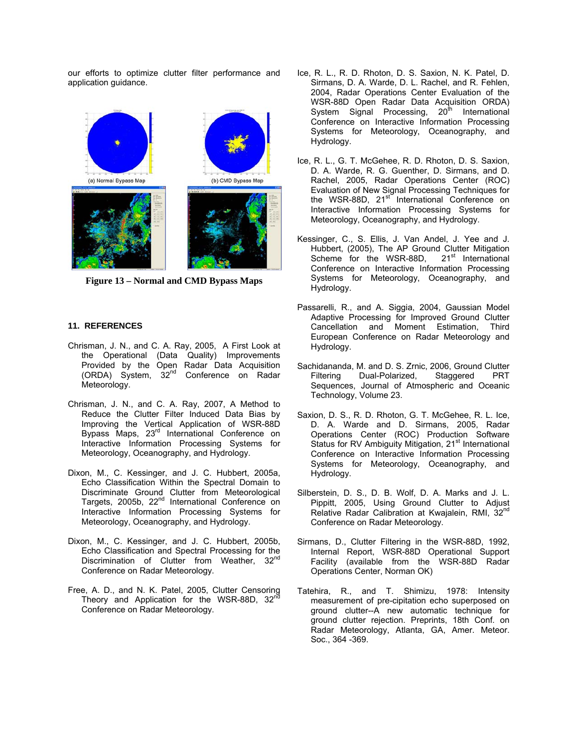our efforts to optimize clutter filter performance and application guidance.



**Figure 13 – Normal and CMD Bypass Maps** 

### **11. REFERENCES**

- Chrisman, J. N., and C. A. Ray, 2005, A First Look at the Operational (Data Quality) Improvements Provided by the Open Radar Data Acquisition (ORDA) System, 32nd Conference on Radar Meteorology.
- Chrisman, J. N., and C. A. Ray, 2007, A Method to Reduce the Clutter Filter Induced Data Bias by Improving the Vertical Application of WSR-88D Bypass Maps, 23<sup>rd</sup> International Conference on Interactive Information Processing Systems for Meteorology, Oceanography, and Hydrology.
- Dixon, M., C. Kessinger, and J. C. Hubbert, 2005a, Echo Classification Within the Spectral Domain to Discriminate Ground Clutter from Meteorological Targets, 2005b, 22nd International Conference on Interactive Information Processing Systems for Meteorology, Oceanography, and Hydrology.
- Dixon, M., C. Kessinger, and J. C. Hubbert, 2005b, Echo Classification and Spectral Processing for the Discrimination of Clutter from Weather, 32<sup>nd</sup> Conference on Radar Meteorology.
- Free, A. D., and N. K. Patel, 2005, Clutter Censoring Theory and Application for the WSR-88D,  $32<sup>nd</sup>$ Conference on Radar Meteorology.
- Ice, R. L., R. D. Rhoton, D. S. Saxion, N. K. Patel, D. Sirmans, D. A. Warde, D. L. Rachel, and R. Fehlen, 2004, Radar Operations Center Evaluation of the WSR-88D Open Radar Data Acquisition ORDA) System Signal Processing, 20<sup>th</sup> International Conference on Interactive Information Processing Systems for Meteorology, Oceanography, and Hydrology.
- Ice, R. L., G. T. McGehee, R. D. Rhoton, D. S. Saxion, D. A. Warde, R. G. Guenther, D. Sirmans, and D. Rachel, 2005, Radar Operations Center (ROC) Evaluation of New Signal Processing Techniques for the WSR-88D, 21<sup>st</sup> International Conference on Interactive Information Processing Systems for Meteorology, Oceanography, and Hydrology.
- Kessinger, C., S. Ellis, J. Van Andel, J. Yee and J. Hubbert, (2005), The AP Ground Clutter Mitigation Scheme for the WSR-88D,  $21<sup>st</sup>$  International Conference on Interactive Information Processing Systems for Meteorology, Oceanography, and Hydrology.
- Passarelli, R., and A. Siggia, 2004, Gaussian Model Adaptive Processing for Improved Ground Clutter Cancellation and Moment Estimation, Third European Conference on Radar Meteorology and Hydrology.
- Sachidananda, M. and D. S. Zrnic, 2006, Ground Clutter Filtering Dual-Polarized, Staggered PRT Sequences, Journal of Atmospheric and Oceanic Technology, Volume 23.
- Saxion, D. S., R. D. Rhoton, G. T. McGehee, R. L. Ice, D. A. Warde and D. Sirmans, 2005, Radar Operations Center (ROC) Production Software Status for RV Ambiguity Mitigation, 21<sup>st</sup> International Conference on Interactive Information Processing Systems for Meteorology, Oceanography, and Hydrology.
- Silberstein, D. S., D. B. Wolf, D. A. Marks and J. L. Pippitt, 2005, Using Ground Clutter to Adjust Relative Radar Calibration at Kwajalein, RMI, 32<sup>nd</sup> Conference on Radar Meteorology.
- Sirmans, D., Clutter Filtering in the WSR-88D, 1992, Internal Report, WSR-88D Operational Support Facility (available from the WSR-88D Radar Operations Center, Norman OK)
- Tatehira, R., and T. Shimizu, 1978: Intensity measurement of pre-cipitation echo superposed on ground clutter--A new automatic technique for ground clutter rejection. Preprints, 18th Conf. on Radar Meteorology, Atlanta, GA, Amer. Meteor. Soc., 364 -369.